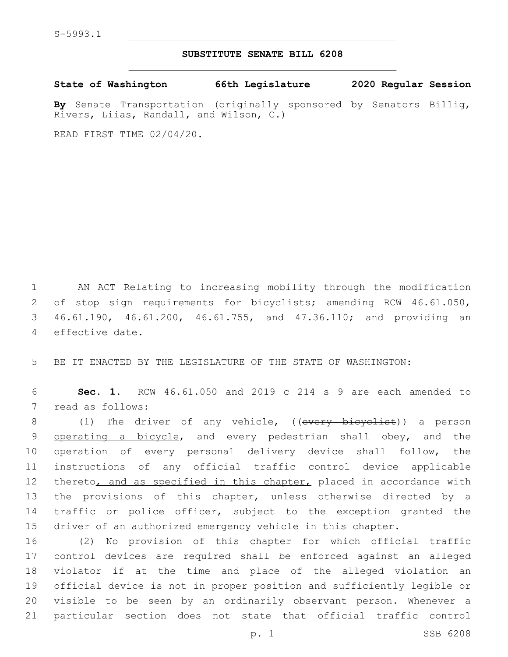## **SUBSTITUTE SENATE BILL 6208**

**State of Washington 66th Legislature 2020 Regular Session**

**By** Senate Transportation (originally sponsored by Senators Billig, Rivers, Liias, Randall, and Wilson, C.)

READ FIRST TIME 02/04/20.

 AN ACT Relating to increasing mobility through the modification of stop sign requirements for bicyclists; amending RCW 46.61.050, 46.61.190, 46.61.200, 46.61.755, and 47.36.110; and providing an 4 effective date.

5 BE IT ENACTED BY THE LEGISLATURE OF THE STATE OF WASHINGTON:

6 **Sec. 1.** RCW 46.61.050 and 2019 c 214 s 9 are each amended to 7 read as follows:

8 (1) The driver of any vehicle, ((every bicyclist)) a person 9 operating a bicycle, and every pedestrian shall obey, and the 10 operation of every personal delivery device shall follow, the 11 instructions of any official traffic control device applicable 12 thereto, and as specified in this chapter, placed in accordance with 13 the provisions of this chapter, unless otherwise directed by a 14 traffic or police officer, subject to the exception granted the 15 driver of an authorized emergency vehicle in this chapter.

 (2) No provision of this chapter for which official traffic control devices are required shall be enforced against an alleged violator if at the time and place of the alleged violation an official device is not in proper position and sufficiently legible or visible to be seen by an ordinarily observant person. Whenever a particular section does not state that official traffic control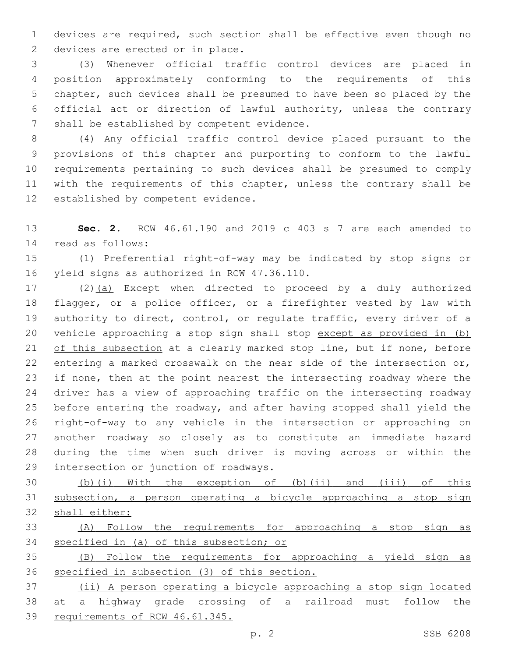devices are required, such section shall be effective even though no 2 devices are erected or in place.

 (3) Whenever official traffic control devices are placed in position approximately conforming to the requirements of this chapter, such devices shall be presumed to have been so placed by the official act or direction of lawful authority, unless the contrary 7 shall be established by competent evidence.

 (4) Any official traffic control device placed pursuant to the provisions of this chapter and purporting to conform to the lawful requirements pertaining to such devices shall be presumed to comply with the requirements of this chapter, unless the contrary shall be 12 established by competent evidence.

 **Sec. 2.** RCW 46.61.190 and 2019 c 403 s 7 are each amended to read as follows:14

 (1) Preferential right-of-way may be indicated by stop signs or 16 yield signs as authorized in RCW 47.36.110.

 (2)(a) Except when directed to proceed by a duly authorized flagger, or a police officer, or a firefighter vested by law with authority to direct, control, or regulate traffic, every driver of a vehicle approaching a stop sign shall stop except as provided in (b) of this subsection at a clearly marked stop line, but if none, before entering a marked crosswalk on the near side of the intersection or, if none, then at the point nearest the intersecting roadway where the driver has a view of approaching traffic on the intersecting roadway before entering the roadway, and after having stopped shall yield the right-of-way to any vehicle in the intersection or approaching on another roadway so closely as to constitute an immediate hazard during the time when such driver is moving across or within the 29 intersection or junction of roadways.

 (b)(i) With the exception of (b)(ii) and (iii) of this subsection, a person operating a bicycle approaching a stop sign shall either:

 (A) Follow the requirements for approaching a stop sign as specified in (a) of this subsection; or

 (B) Follow the requirements for approaching a yield sign as specified in subsection (3) of this section.

 (ii) A person operating a bicycle approaching a stop sign located at a highway grade crossing of a railroad must follow the requirements of RCW 46.61.345.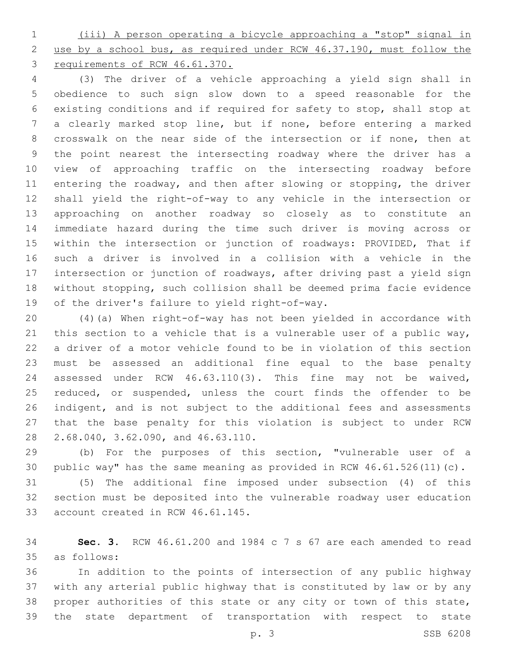(iii) A person operating a bicycle approaching a "stop" signal in use by a school bus, as required under RCW 46.37.190, must follow the requirements of RCW 46.61.370.

 (3) The driver of a vehicle approaching a yield sign shall in obedience to such sign slow down to a speed reasonable for the existing conditions and if required for safety to stop, shall stop at a clearly marked stop line, but if none, before entering a marked crosswalk on the near side of the intersection or if none, then at the point nearest the intersecting roadway where the driver has a view of approaching traffic on the intersecting roadway before entering the roadway, and then after slowing or stopping, the driver shall yield the right-of-way to any vehicle in the intersection or approaching on another roadway so closely as to constitute an immediate hazard during the time such driver is moving across or within the intersection or junction of roadways: PROVIDED, That if such a driver is involved in a collision with a vehicle in the intersection or junction of roadways, after driving past a yield sign without stopping, such collision shall be deemed prima facie evidence 19 of the driver's failure to yield right-of-way.

 (4)(a) When right-of-way has not been yielded in accordance with this section to a vehicle that is a vulnerable user of a public way, a driver of a motor vehicle found to be in violation of this section must be assessed an additional fine equal to the base penalty assessed under RCW 46.63.110(3). This fine may not be waived, 25 reduced, or suspended, unless the court finds the offender to be indigent, and is not subject to the additional fees and assessments that the base penalty for this violation is subject to under RCW 28 2.68.040, 3.62.090, and 46.63.110.

 (b) For the purposes of this section, "vulnerable user of a public way" has the same meaning as provided in RCW 46.61.526(11)(c).

 (5) The additional fine imposed under subsection (4) of this section must be deposited into the vulnerable roadway user education 33 account created in RCW 46.61.145.

 **Sec. 3.** RCW 46.61.200 and 1984 c 7 s 67 are each amended to read as follows:35

 In addition to the points of intersection of any public highway with any arterial public highway that is constituted by law or by any proper authorities of this state or any city or town of this state, the state department of transportation with respect to state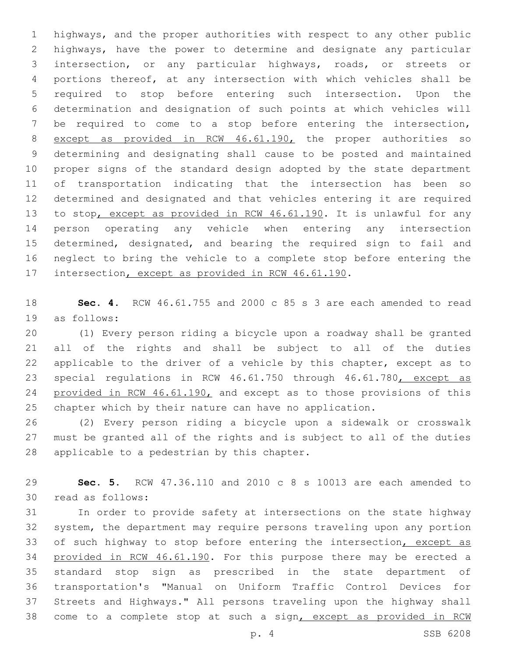highways, and the proper authorities with respect to any other public highways, have the power to determine and designate any particular intersection, or any particular highways, roads, or streets or portions thereof, at any intersection with which vehicles shall be required to stop before entering such intersection. Upon the determination and designation of such points at which vehicles will be required to come to a stop before entering the intersection, except as provided in RCW 46.61.190, the proper authorities so determining and designating shall cause to be posted and maintained proper signs of the standard design adopted by the state department of transportation indicating that the intersection has been so determined and designated and that vehicles entering it are required to stop, except as provided in RCW 46.61.190. It is unlawful for any person operating any vehicle when entering any intersection determined, designated, and bearing the required sign to fail and neglect to bring the vehicle to a complete stop before entering the 17 intersection, except as provided in RCW 46.61.190.

 **Sec. 4.** RCW 46.61.755 and 2000 c 85 s 3 are each amended to read 19 as follows:

 (1) Every person riding a bicycle upon a roadway shall be granted all of the rights and shall be subject to all of the duties applicable to the driver of a vehicle by this chapter, except as to 23 special regulations in RCW 46.61.750 through 46.61.780, except as 24 provided in RCW 46.61.190, and except as to those provisions of this chapter which by their nature can have no application.

 (2) Every person riding a bicycle upon a sidewalk or crosswalk must be granted all of the rights and is subject to all of the duties 28 applicable to a pedestrian by this chapter.

 **Sec. 5.** RCW 47.36.110 and 2010 c 8 s 10013 are each amended to 30 read as follows:

 In order to provide safety at intersections on the state highway system, the department may require persons traveling upon any portion 33 of such highway to stop before entering the intersection, except as provided in RCW 46.61.190. For this purpose there may be erected a standard stop sign as prescribed in the state department of transportation's "Manual on Uniform Traffic Control Devices for Streets and Highways." All persons traveling upon the highway shall come to a complete stop at such a sign, except as provided in RCW